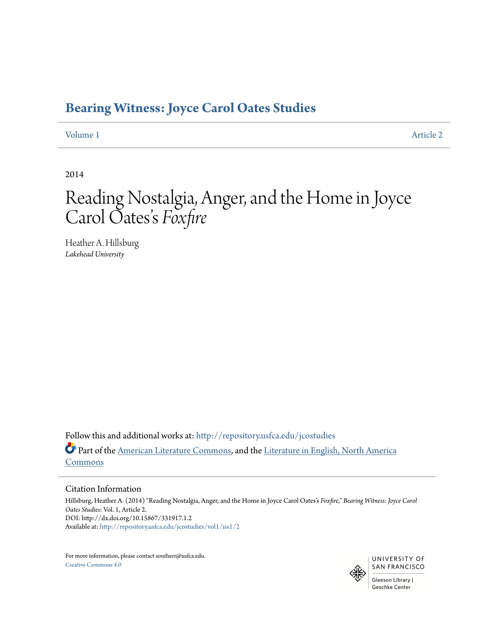# **[Bearing Witness: Joyce Carol Oates Studies](http://repository.usfca.edu/jcostudies?utm_source=repository.usfca.edu%2Fjcostudies%2Fvol1%2Fiss1%2F2&utm_medium=PDF&utm_campaign=PDFCoverPages)**

[Volume 1](http://repository.usfca.edu/jcostudies/vol1?utm_source=repository.usfca.edu%2Fjcostudies%2Fvol1%2Fiss1%2F2&utm_medium=PDF&utm_campaign=PDFCoverPages) [Article 2](http://repository.usfca.edu/jcostudies/vol1/iss1/2?utm_source=repository.usfca.edu%2Fjcostudies%2Fvol1%2Fiss1%2F2&utm_medium=PDF&utm_campaign=PDFCoverPages)

2014

## Reading Nostalgia, Anger, and the Home in Joyce Carol Oates s *Foxfire* י<br>'

Heather A. Hillsburg *Lakehead University*

Follow this and additional works at: [http://repository.usfca.edu/jcostudies](http://repository.usfca.edu/jcostudies?utm_source=repository.usfca.edu%2Fjcostudies%2Fvol1%2Fiss1%2F2&utm_medium=PDF&utm_campaign=PDFCoverPages) Part of the [American Literature Commons,](http://network.bepress.com/hgg/discipline/441?utm_source=repository.usfca.edu%2Fjcostudies%2Fvol1%2Fiss1%2F2&utm_medium=PDF&utm_campaign=PDFCoverPages) and the [Literature in English, North America](http://network.bepress.com/hgg/discipline/458?utm_source=repository.usfca.edu%2Fjcostudies%2Fvol1%2Fiss1%2F2&utm_medium=PDF&utm_campaign=PDFCoverPages) [Commons](http://network.bepress.com/hgg/discipline/458?utm_source=repository.usfca.edu%2Fjcostudies%2Fvol1%2Fiss1%2F2&utm_medium=PDF&utm_campaign=PDFCoverPages)

#### Citation Information

Hillsburg, Heather A. (2014) "Reading Nostalgia, Anger, and the Home in Joyce Carol Oates's *Foxfire*," *Bearing Witness: Joyce Carol Oates Studies*: Vol. 1, Article 2. DOI: http://dx.doi.org/10.15867/331917.1.2 Available at: [http://repository.usfca.edu/jcostudies/vol1/iss1/2](http://repository.usfca.edu/jcostudies/vol1/iss1/2?utm_source=repository.usfca.edu%2Fjcostudies%2Fvol1%2Fiss1%2F2&utm_medium=PDF&utm_campaign=PDFCoverPages)

For more information, please contact southerr@usfca.edu. [Creative Commons 4.0](http://creativecommons.org/licenses/by/4.0/)

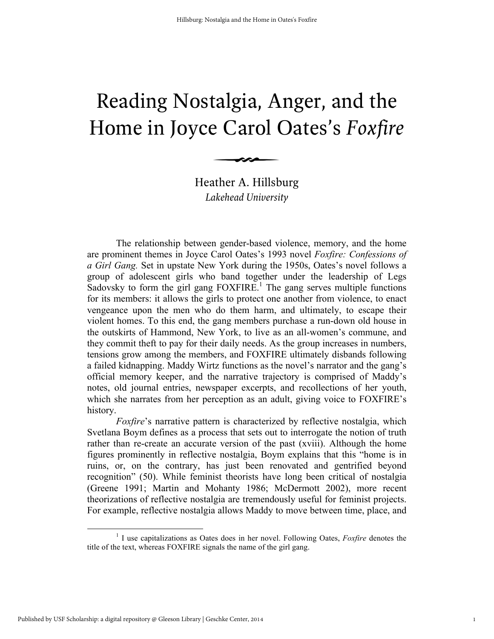# Reading Nostalgia, Anger, and the Home in Joyce Carol Oates's *Foxfire*

Heather A. Hillsburg *Lakehead University*

 $\longrightarrow$ 

The relationship between gender-based violence, memory, and the home are prominent themes in Joyce Carol Oates's 1993 novel *Foxfire: Confessions of a Girl Gang.* Set in upstate New York during the 1950s, Oates's novel follows a group of adolescent girls who band together under the leadership of Legs Sadovsky to form the girl gang FOXFIRE.<sup>1</sup> The gang serves multiple functions for its members: it allows the girls to protect one another from violence, to enact vengeance upon the men who do them harm, and ultimately, to escape their violent homes. To this end, the gang members purchase a run-down old house in the outskirts of Hammond, New York, to live as an all-women's commune, and they commit theft to pay for their daily needs. As the group increases in numbers, tensions grow among the members, and FOXFIRE ultimately disbands following a failed kidnapping. Maddy Wirtz functions as the novel's narrator and the gang's official memory keeper, and the narrative trajectory is comprised of Maddy's notes, old journal entries, newspaper excerpts, and recollections of her youth, which she narrates from her perception as an adult, giving voice to FOXFIRE's history.

*Foxfire*'s narrative pattern is characterized by reflective nostalgia, which Svetlana Boym defines as a process that sets out to interrogate the notion of truth rather than re-create an accurate version of the past (xviii). Although the home figures prominently in reflective nostalgia, Boym explains that this "home is in ruins, or, on the contrary, has just been renovated and gentrified beyond recognition" (50). While feminist theorists have long been critical of nostalgia (Greene 1991; Martin and Mohanty 1986; McDermott 2002), more recent theorizations of reflective nostalgia are tremendously useful for feminist projects. For example, reflective nostalgia allows Maddy to move between time, place, and

<sup>&</sup>lt;sup>1</sup> I use capitalizations as Oates does in her novel. Following Oates, *Foxfire* denotes the title of the text, whereas FOXFIRE signals the name of the girl gang.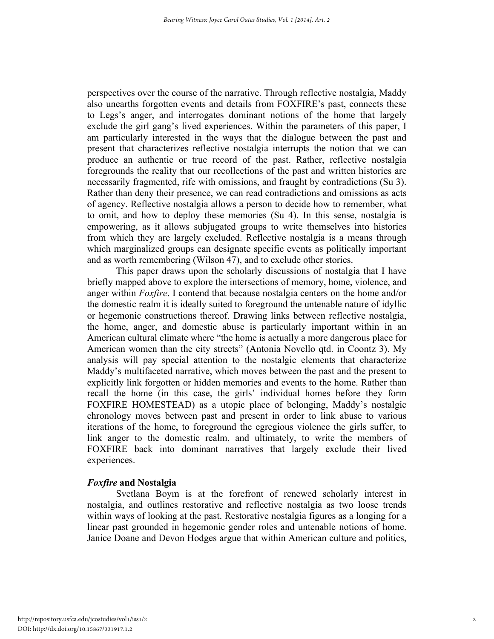perspectives over the course of the narrative. Through reflective nostalgia, Maddy also unearths forgotten events and details from FOXFIRE's past, connects these to Legs's anger, and interrogates dominant notions of the home that largely exclude the girl gang's lived experiences. Within the parameters of this paper, I am particularly interested in the ways that the dialogue between the past and present that characterizes reflective nostalgia interrupts the notion that we can produce an authentic or true record of the past. Rather, reflective nostalgia foregrounds the reality that our recollections of the past and written histories are necessarily fragmented, rife with omissions, and fraught by contradictions (Su 3). Rather than deny their presence, we can read contradictions and omissions as acts of agency. Reflective nostalgia allows a person to decide how to remember, what to omit, and how to deploy these memories (Su 4). In this sense, nostalgia is empowering, as it allows subjugated groups to write themselves into histories from which they are largely excluded. Reflective nostalgia is a means through which marginalized groups can designate specific events as politically important and as worth remembering (Wilson 47), and to exclude other stories.

This paper draws upon the scholarly discussions of nostalgia that I have briefly mapped above to explore the intersections of memory, home, violence, and anger within *Foxfire*. I contend that because nostalgia centers on the home and/or the domestic realm it is ideally suited to foreground the untenable nature of idyllic or hegemonic constructions thereof. Drawing links between reflective nostalgia, the home, anger, and domestic abuse is particularly important within in an American cultural climate where "the home is actually a more dangerous place for American women than the city streets" (Antonia Novello qtd. in Coontz 3). My analysis will pay special attention to the nostalgic elements that characterize Maddy's multifaceted narrative, which moves between the past and the present to explicitly link forgotten or hidden memories and events to the home. Rather than recall the home (in this case, the girls' individual homes before they form FOXFIRE HOMESTEAD) as a utopic place of belonging, Maddy's nostalgic chronology moves between past and present in order to link abuse to various iterations of the home, to foreground the egregious violence the girls suffer, to link anger to the domestic realm, and ultimately, to write the members of FOXFIRE back into dominant narratives that largely exclude their lived experiences.

### *Foxfire* **and Nostalgia**

Svetlana Boym is at the forefront of renewed scholarly interest in nostalgia, and outlines restorative and reflective nostalgia as two loose trends within ways of looking at the past. Restorative nostalgia figures as a longing for a linear past grounded in hegemonic gender roles and untenable notions of home. Janice Doane and Devon Hodges argue that within American culture and politics,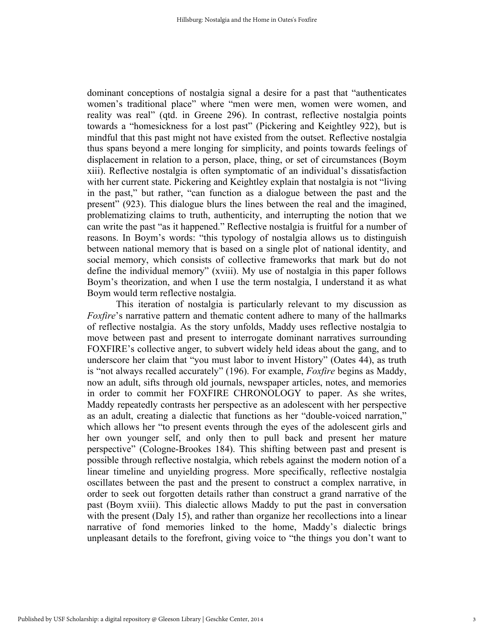dominant conceptions of nostalgia signal a desire for a past that "authenticates women's traditional place" where "men were men, women were women, and reality was real" (qtd. in Greene 296). In contrast, reflective nostalgia points towards a "homesickness for a lost past" (Pickering and Keightley 922), but is mindful that this past might not have existed from the outset. Reflective nostalgia thus spans beyond a mere longing for simplicity, and points towards feelings of displacement in relation to a person, place, thing, or set of circumstances (Boym xiii). Reflective nostalgia is often symptomatic of an individual's dissatisfaction with her current state. Pickering and Keightley explain that nostalgia is not "living in the past," but rather, "can function as a dialogue between the past and the present" (923). This dialogue blurs the lines between the real and the imagined, problematizing claims to truth, authenticity, and interrupting the notion that we can write the past "as it happened." Reflective nostalgia is fruitful for a number of reasons. In Boym's words: "this typology of nostalgia allows us to distinguish between national memory that is based on a single plot of national identity, and social memory, which consists of collective frameworks that mark but do not define the individual memory" (xviii). My use of nostalgia in this paper follows Boym's theorization, and when I use the term nostalgia, I understand it as what Boym would term reflective nostalgia.

This iteration of nostalgia is particularly relevant to my discussion as *Foxfire*'s narrative pattern and thematic content adhere to many of the hallmarks of reflective nostalgia. As the story unfolds, Maddy uses reflective nostalgia to move between past and present to interrogate dominant narratives surrounding FOXFIRE's collective anger, to subvert widely held ideas about the gang, and to underscore her claim that "you must labor to invent History" (Oates 44), as truth is "not always recalled accurately" (196). For example, *Foxfire* begins as Maddy, now an adult, sifts through old journals, newspaper articles, notes, and memories in order to commit her FOXFIRE CHRONOLOGY to paper. As she writes, Maddy repeatedly contrasts her perspective as an adolescent with her perspective as an adult, creating a dialectic that functions as her "double-voiced narration," which allows her "to present events through the eyes of the adolescent girls and her own younger self, and only then to pull back and present her mature perspective" (Cologne-Brookes 184). This shifting between past and present is possible through reflective nostalgia, which rebels against the modern notion of a linear timeline and unyielding progress. More specifically, reflective nostalgia oscillates between the past and the present to construct a complex narrative, in order to seek out forgotten details rather than construct a grand narrative of the past (Boym xviii). This dialectic allows Maddy to put the past in conversation with the present (Daly 15), and rather than organize her recollections into a linear narrative of fond memories linked to the home, Maddy's dialectic brings unpleasant details to the forefront, giving voice to "the things you don't want to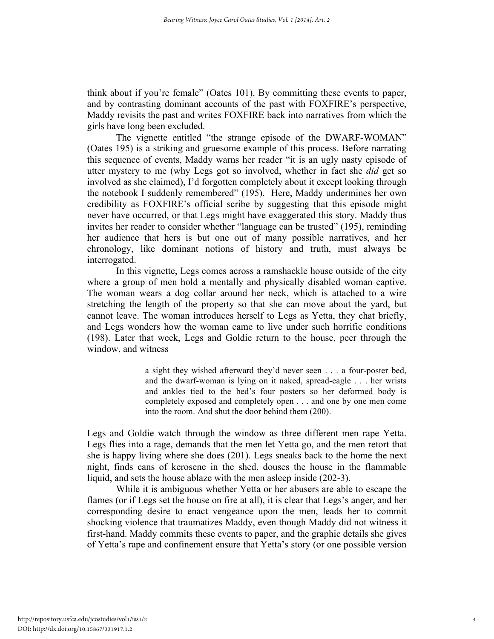think about if you're female" (Oates 101). By committing these events to paper, and by contrasting dominant accounts of the past with FOXFIRE's perspective, Maddy revisits the past and writes FOXFIRE back into narratives from which the girls have long been excluded.

The vignette entitled "the strange episode of the DWARF-WOMAN" (Oates 195) is a striking and gruesome example of this process. Before narrating this sequence of events, Maddy warns her reader "it is an ugly nasty episode of utter mystery to me (why Legs got so involved, whether in fact she *did* get so involved as she claimed), I'd forgotten completely about it except looking through the notebook I suddenly remembered" (195). Here, Maddy undermines her own credibility as FOXFIRE's official scribe by suggesting that this episode might never have occurred, or that Legs might have exaggerated this story. Maddy thus invites her reader to consider whether "language can be trusted" (195), reminding her audience that hers is but one out of many possible narratives, and her chronology, like dominant notions of history and truth, must always be interrogated.

In this vignette, Legs comes across a ramshackle house outside of the city where a group of men hold a mentally and physically disabled woman captive. The woman wears a dog collar around her neck, which is attached to a wire stretching the length of the property so that she can move about the yard, but cannot leave. The woman introduces herself to Legs as Yetta, they chat briefly, and Legs wonders how the woman came to live under such horrific conditions (198). Later that week, Legs and Goldie return to the house, peer through the window, and witness

> a sight they wished afterward they'd never seen . . . a four-poster bed, and the dwarf-woman is lying on it naked, spread-eagle . . . her wrists and ankles tied to the bed's four posters so her deformed body is completely exposed and completely open . . . and one by one men come into the room. And shut the door behind them (200).

Legs and Goldie watch through the window as three different men rape Yetta. Legs flies into a rage, demands that the men let Yetta go, and the men retort that she is happy living where she does (201). Legs sneaks back to the home the next night, finds cans of kerosene in the shed, douses the house in the flammable liquid, and sets the house ablaze with the men asleep inside (202-3).

While it is ambiguous whether Yetta or her abusers are able to escape the flames (or if Legs set the house on fire at all), it is clear that Legs's anger, and her corresponding desire to enact vengeance upon the men, leads her to commit shocking violence that traumatizes Maddy, even though Maddy did not witness it first-hand. Maddy commits these events to paper, and the graphic details she gives of Yetta's rape and confinement ensure that Yetta's story (or one possible version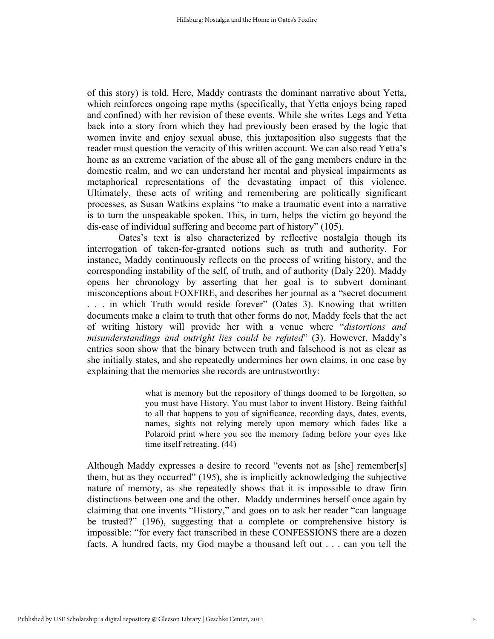of this story) is told. Here, Maddy contrasts the dominant narrative about Yetta, which reinforces ongoing rape myths (specifically, that Yetta enjoys being raped and confined) with her revision of these events. While she writes Legs and Yetta back into a story from which they had previously been erased by the logic that women invite and enjoy sexual abuse, this juxtaposition also suggests that the reader must question the veracity of this written account. We can also read Yetta's home as an extreme variation of the abuse all of the gang members endure in the domestic realm, and we can understand her mental and physical impairments as metaphorical representations of the devastating impact of this violence. Ultimately, these acts of writing and remembering are politically significant processes, as Susan Watkins explains "to make a traumatic event into a narrative is to turn the unspeakable spoken. This, in turn, helps the victim go beyond the dis-ease of individual suffering and become part of history" (105).

Oates's text is also characterized by reflective nostalgia though its interrogation of taken-for-granted notions such as truth and authority. For instance, Maddy continuously reflects on the process of writing history, and the corresponding instability of the self, of truth, and of authority (Daly 220). Maddy opens her chronology by asserting that her goal is to subvert dominant misconceptions about FOXFIRE, and describes her journal as a "secret document ... in which Truth would reside forever" (Oates 3). Knowing that written documents make a claim to truth that other forms do not, Maddy feels that the act of writing history will provide her with a venue where "*distortions and misunderstandings and outright lies could be refuted*" (3). However, Maddy's entries soon show that the binary between truth and falsehood is not as clear as she initially states, and she repeatedly undermines her own claims, in one case by explaining that the memories she records are untrustworthy:

> what is memory but the repository of things doomed to be forgotten, so you must have History. You must labor to invent History. Being faithful to all that happens to you of significance, recording days, dates, events, names, sights not relying merely upon memory which fades like a Polaroid print where you see the memory fading before your eyes like time itself retreating. (44)

Although Maddy expresses a desire to record "events not as [she] remember[s] them, but as they occurred" (195), she is implicitly acknowledging the subjective nature of memory, as she repeatedly shows that it is impossible to draw firm distinctions between one and the other. Maddy undermines herself once again by claiming that one invents "History," and goes on to ask her reader "can language be trusted?" (196), suggesting that a complete or comprehensive history is impossible: "for every fact transcribed in these CONFESSIONS there are a dozen facts. A hundred facts, my God maybe a thousand left out . . . can you tell the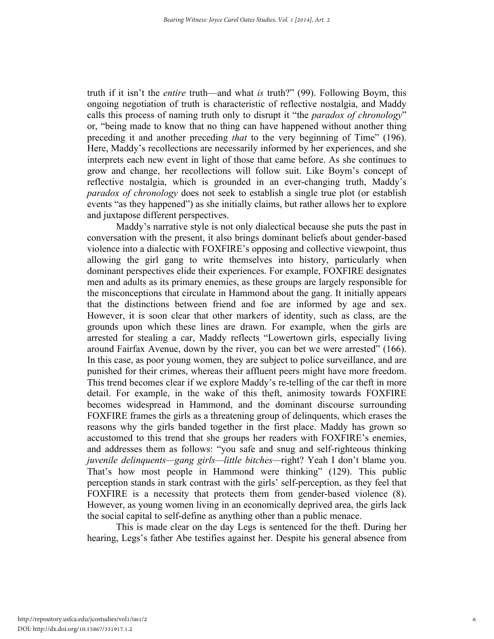truth if it isn't the *entire* truth—and what *is* truth?" (99). Following Boym, this ongoing negotiation of truth is characteristic of reflective nostalgia, and Maddy calls this process of naming truth only to disrupt it "the *paradox of chronology*" or, "being made to know that no thing can have happened without another thing preceding it and another preceding *that* to the very beginning of Time" (196). Here, Maddy's recollections are necessarily informed by her experiences, and she interprets each new event in light of those that came before. As she continues to grow and change, her recollections will follow suit. Like Boym's concept of reflective nostalgia, which is grounded in an ever-changing truth, Maddy's *paradox of chronology* does not seek to establish a single true plot (or establish events "as they happened") as she initially claims, but rather allows her to explore and juxtapose different perspectives.

Maddy's narrative style is not only dialectical because she puts the past in conversation with the present, it also brings dominant beliefs about gender-based violence into a dialectic with FOXFIRE's opposing and collective viewpoint, thus allowing the girl gang to write themselves into history, particularly when dominant perspectives elide their experiences. For example, FOXFIRE designates men and adults as its primary enemies, as these groups are largely responsible for the misconceptions that circulate in Hammond about the gang. It initially appears that the distinctions between friend and foe are informed by age and sex. However, it is soon clear that other markers of identity, such as class, are the grounds upon which these lines are drawn. For example, when the girls are arrested for stealing a car, Maddy reflects "Lowertown girls, especially living around Fairfax Avenue, down by the river, you can bet we were arrested" (166). In this case, as poor young women, they are subject to police surveillance, and are punished for their crimes, whereas their affluent peers might have more freedom. This trend becomes clear if we explore Maddy's re-telling of the car theft in more detail. For example, in the wake of this theft, animosity towards FOXFIRE becomes widespread in Hammond, and the dominant discourse surrounding FOXFIRE frames the girls as a threatening group of delinquents, which erases the reasons why the girls banded together in the first place. Maddy has grown so accustomed to this trend that she groups her readers with FOXFIRE's enemies, and addresses them as follows: "you safe and snug and self-righteous thinking *juvenile delinquents—gang girls—little bitches—*right? Yeah I don't blame you. That's how most people in Hammond were thinking" (129). This public perception stands in stark contrast with the girls' self-perception, as they feel that FOXFIRE is a necessity that protects them from gender-based violence (8). However, as young women living in an economically deprived area, the girls lack the social capital to self-define as anything other than a public menace.

This is made clear on the day Legs is sentenced for the theft. During her hearing, Legs's father Abe testifies against her. Despite his general absence from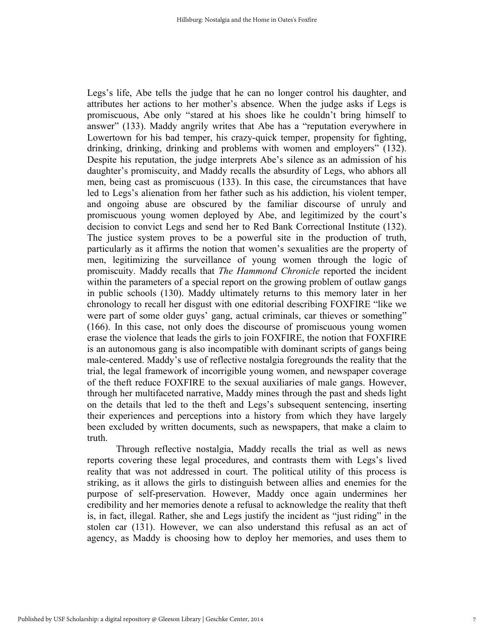Legs's life, Abe tells the judge that he can no longer control his daughter, and attributes her actions to her mother's absence. When the judge asks if Legs is promiscuous, Abe only "stared at his shoes like he couldn't bring himself to answer" (133). Maddy angrily writes that Abe has a "reputation everywhere in Lowertown for his bad temper, his crazy-quick temper, propensity for fighting, drinking, drinking, drinking and problems with women and employers" (132). Despite his reputation, the judge interprets Abe's silence as an admission of his daughter's promiscuity, and Maddy recalls the absurdity of Legs, who abhors all men, being cast as promiscuous (133). In this case, the circumstances that have led to Legs's alienation from her father such as his addiction, his violent temper, and ongoing abuse are obscured by the familiar discourse of unruly and promiscuous young women deployed by Abe, and legitimized by the court's decision to convict Legs and send her to Red Bank Correctional Institute (132). The justice system proves to be a powerful site in the production of truth, particularly as it affirms the notion that women's sexualities are the property of men, legitimizing the surveillance of young women through the logic of promiscuity. Maddy recalls that *The Hammond Chronicle* reported the incident within the parameters of a special report on the growing problem of outlaw gangs in public schools (130). Maddy ultimately returns to this memory later in her chronology to recall her disgust with one editorial describing FOXFIRE "like we were part of some older guys' gang, actual criminals, car thieves or something" (166). In this case, not only does the discourse of promiscuous young women erase the violence that leads the girls to join FOXFIRE, the notion that FOXFIRE is an autonomous gang is also incompatible with dominant scripts of gangs being male-centered. Maddy's use of reflective nostalgia foregrounds the reality that the trial, the legal framework of incorrigible young women, and newspaper coverage of the theft reduce FOXFIRE to the sexual auxiliaries of male gangs. However, through her multifaceted narrative, Maddy mines through the past and sheds light on the details that led to the theft and Legs's subsequent sentencing, inserting their experiences and perceptions into a history from which they have largely been excluded by written documents, such as newspapers, that make a claim to truth.

Through reflective nostalgia, Maddy recalls the trial as well as news reports covering these legal procedures, and contrasts them with Legs's lived reality that was not addressed in court. The political utility of this process is striking, as it allows the girls to distinguish between allies and enemies for the purpose of self-preservation. However, Maddy once again undermines her credibility and her memories denote a refusal to acknowledge the reality that theft is, in fact, illegal. Rather, she and Legs justify the incident as "just riding" in the stolen car (131). However, we can also understand this refusal as an act of agency, as Maddy is choosing how to deploy her memories, and uses them to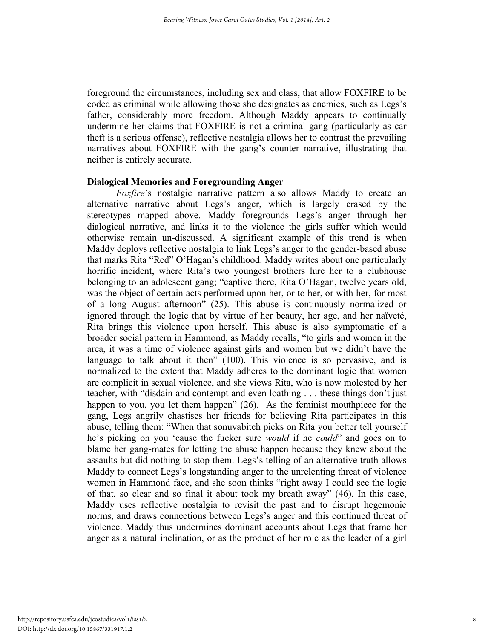foreground the circumstances, including sex and class, that allow FOXFIRE to be coded as criminal while allowing those she designates as enemies, such as Legs's father, considerably more freedom. Although Maddy appears to continually undermine her claims that FOXFIRE is not a criminal gang (particularly as car theft is a serious offense), reflective nostalgia allows her to contrast the prevailing narratives about FOXFIRE with the gang's counter narrative, illustrating that neither is entirely accurate.

#### **Dialogical Memories and Foregrounding Anger**

*Foxfire*'s nostalgic narrative pattern also allows Maddy to create an alternative narrative about Legs's anger, which is largely erased by the stereotypes mapped above. Maddy foregrounds Legs's anger through her dialogical narrative, and links it to the violence the girls suffer which would otherwise remain un-discussed. A significant example of this trend is when Maddy deploys reflective nostalgia to link Legs's anger to the gender-based abuse that marks Rita "Red" O'Hagan's childhood. Maddy writes about one particularly horrific incident, where Rita's two youngest brothers lure her to a clubhouse belonging to an adolescent gang; "captive there, Rita O'Hagan, twelve years old, was the object of certain acts performed upon her, or to her, or with her, for most of a long August afternoon" (25). This abuse is continuously normalized or ignored through the logic that by virtue of her beauty, her age, and her naïveté, Rita brings this violence upon herself. This abuse is also symptomatic of a broader social pattern in Hammond, as Maddy recalls, "to girls and women in the area, it was a time of violence against girls and women but we didn't have the language to talk about it then" (100). This violence is so pervasive, and is normalized to the extent that Maddy adheres to the dominant logic that women are complicit in sexual violence, and she views Rita, who is now molested by her teacher, with "disdain and contempt and even loathing . . . these things don't just happen to you, you let them happen" (26). As the feminist mouthpiece for the gang, Legs angrily chastises her friends for believing Rita participates in this abuse, telling them: "When that sonuvabitch picks on Rita you better tell yourself he's picking on you 'cause the fucker sure *would* if he *could*" and goes on to blame her gang-mates for letting the abuse happen because they knew about the assaults but did nothing to stop them. Legs's telling of an alternative truth allows Maddy to connect Legs's longstanding anger to the unrelenting threat of violence women in Hammond face, and she soon thinks "right away I could see the logic of that, so clear and so final it about took my breath away" (46). In this case, Maddy uses reflective nostalgia to revisit the past and to disrupt hegemonic norms, and draws connections between Legs's anger and this continued threat of violence. Maddy thus undermines dominant accounts about Legs that frame her anger as a natural inclination, or as the product of her role as the leader of a girl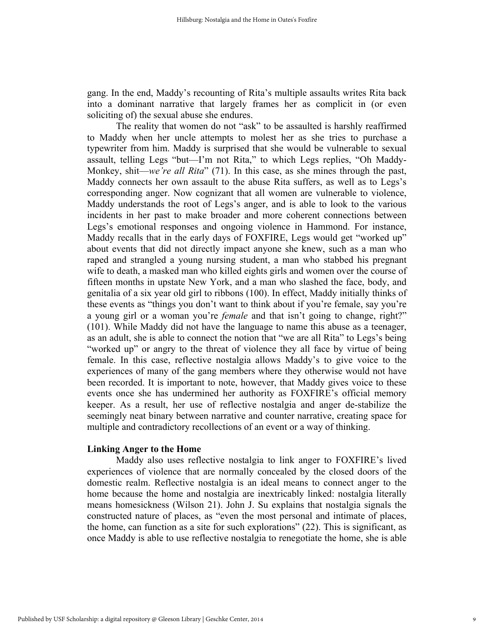gang. In the end, Maddy's recounting of Rita's multiple assaults writes Rita back into a dominant narrative that largely frames her as complicit in (or even soliciting of) the sexual abuse she endures.

The reality that women do not "ask" to be assaulted is harshly reaffirmed to Maddy when her uncle attempts to molest her as she tries to purchase a typewriter from him. Maddy is surprised that she would be vulnerable to sexual assault, telling Legs "but—I'm not Rita," to which Legs replies, "Oh Maddy-Monkey, shit—*we're all Rita*" (71). In this case, as she mines through the past, Maddy connects her own assault to the abuse Rita suffers, as well as to Legs's corresponding anger. Now cognizant that all women are vulnerable to violence, Maddy understands the root of Legs's anger, and is able to look to the various incidents in her past to make broader and more coherent connections between Legs's emotional responses and ongoing violence in Hammond. For instance, Maddy recalls that in the early days of FOXFIRE, Legs would get "worked up" about events that did not directly impact anyone she knew, such as a man who raped and strangled a young nursing student, a man who stabbed his pregnant wife to death, a masked man who killed eights girls and women over the course of fifteen months in upstate New York, and a man who slashed the face, body, and genitalia of a six year old girl to ribbons (100). In effect, Maddy initially thinks of these events as "things you don't want to think about if you're female, say you're a young girl or a woman you're *female* and that isn't going to change, right?" (101). While Maddy did not have the language to name this abuse as a teenager, as an adult, she is able to connect the notion that "we are all Rita" to Legs's being "worked up" or angry to the threat of violence they all face by virtue of being female. In this case, reflective nostalgia allows Maddy's to give voice to the experiences of many of the gang members where they otherwise would not have been recorded. It is important to note, however, that Maddy gives voice to these events once she has undermined her authority as FOXFIRE's official memory keeper. As a result, her use of reflective nostalgia and anger de-stabilize the seemingly neat binary between narrative and counter narrative, creating space for multiple and contradictory recollections of an event or a way of thinking.

#### **Linking Anger to the Home**

Maddy also uses reflective nostalgia to link anger to FOXFIRE's lived experiences of violence that are normally concealed by the closed doors of the domestic realm. Reflective nostalgia is an ideal means to connect anger to the home because the home and nostalgia are inextricably linked: nostalgia literally means homesickness (Wilson 21). John J. Su explains that nostalgia signals the constructed nature of places, as "even the most personal and intimate of places, the home, can function as a site for such explorations" (22). This is significant, as once Maddy is able to use reflective nostalgia to renegotiate the home, she is able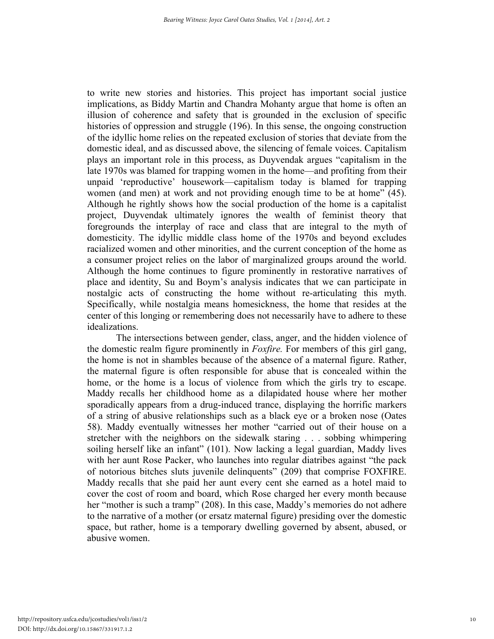to write new stories and histories. This project has important social justice implications, as Biddy Martin and Chandra Mohanty argue that home is often an illusion of coherence and safety that is grounded in the exclusion of specific histories of oppression and struggle (196). In this sense, the ongoing construction of the idyllic home relies on the repeated exclusion of stories that deviate from the domestic ideal, and as discussed above, the silencing of female voices. Capitalism plays an important role in this process, as Duyvendak argues "capitalism in the late 1970s was blamed for trapping women in the home—and profiting from their unpaid 'reproductive' housework—capitalism today is blamed for trapping women (and men) at work and not providing enough time to be at home" (45). Although he rightly shows how the social production of the home is a capitalist project, Duyvendak ultimately ignores the wealth of feminist theory that foregrounds the interplay of race and class that are integral to the myth of domesticity. The idyllic middle class home of the 1970s and beyond excludes racialized women and other minorities, and the current conception of the home as a consumer project relies on the labor of marginalized groups around the world. Although the home continues to figure prominently in restorative narratives of place and identity, Su and Boym's analysis indicates that we can participate in nostalgic acts of constructing the home without re-articulating this myth. Specifically, while nostalgia means homesickness, the home that resides at the center of this longing or remembering does not necessarily have to adhere to these idealizations.

The intersections between gender, class, anger, and the hidden violence of the domestic realm figure prominently in *Foxfire.* For members of this girl gang, the home is not in shambles because of the absence of a maternal figure. Rather, the maternal figure is often responsible for abuse that is concealed within the home, or the home is a locus of violence from which the girls try to escape. Maddy recalls her childhood home as a dilapidated house where her mother sporadically appears from a drug-induced trance, displaying the horrific markers of a string of abusive relationships such as a black eye or a broken nose (Oates 58). Maddy eventually witnesses her mother "carried out of their house on a stretcher with the neighbors on the sidewalk staring . . . sobbing whimpering soiling herself like an infant" (101). Now lacking a legal guardian, Maddy lives with her aunt Rose Packer, who launches into regular diatribes against "the pack of notorious bitches sluts juvenile delinquents" (209) that comprise FOXFIRE. Maddy recalls that she paid her aunt every cent she earned as a hotel maid to cover the cost of room and board, which Rose charged her every month because her "mother is such a tramp" (208). In this case, Maddy's memories do not adhere to the narrative of a mother (or ersatz maternal figure) presiding over the domestic space, but rather, home is a temporary dwelling governed by absent, abused, or abusive women.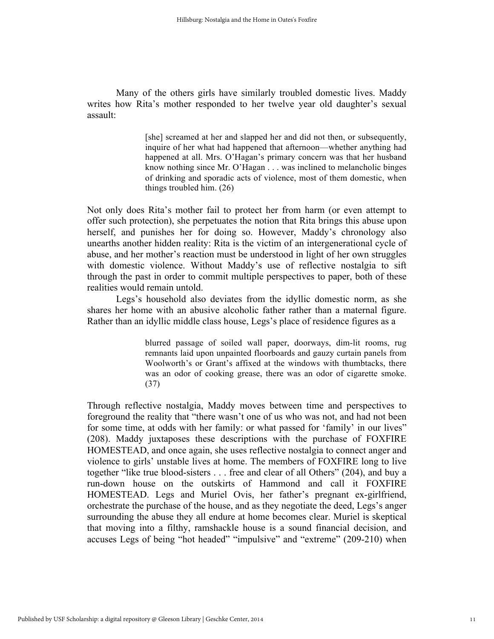Many of the others girls have similarly troubled domestic lives. Maddy writes how Rita's mother responded to her twelve year old daughter's sexual assault:

> [she] screamed at her and slapped her and did not then, or subsequently, inquire of her what had happened that afternoon—whether anything had happened at all. Mrs. O'Hagan's primary concern was that her husband know nothing since Mr. O'Hagan . . . was inclined to melancholic binges of drinking and sporadic acts of violence, most of them domestic, when things troubled him. (26)

Not only does Rita's mother fail to protect her from harm (or even attempt to offer such protection), she perpetuates the notion that Rita brings this abuse upon herself, and punishes her for doing so. However, Maddy's chronology also unearths another hidden reality: Rita is the victim of an intergenerational cycle of abuse, and her mother's reaction must be understood in light of her own struggles with domestic violence. Without Maddy's use of reflective nostalgia to sift through the past in order to commit multiple perspectives to paper, both of these realities would remain untold.

Legs's household also deviates from the idyllic domestic norm, as she shares her home with an abusive alcoholic father rather than a maternal figure. Rather than an idyllic middle class house, Legs's place of residence figures as a

> blurred passage of soiled wall paper, doorways, dim-lit rooms, rug remnants laid upon unpainted floorboards and gauzy curtain panels from Woolworth's or Grant's affixed at the windows with thumbtacks, there was an odor of cooking grease, there was an odor of cigarette smoke. (37)

Through reflective nostalgia, Maddy moves between time and perspectives to foreground the reality that "there wasn't one of us who was not, and had not been for some time, at odds with her family: or what passed for 'family' in our lives" (208). Maddy juxtaposes these descriptions with the purchase of FOXFIRE HOMESTEAD, and once again, she uses reflective nostalgia to connect anger and violence to girls' unstable lives at home. The members of FOXFIRE long to live together "like true blood-sisters . . . free and clear of all Others" (204), and buy a run-down house on the outskirts of Hammond and call it FOXFIRE HOMESTEAD. Legs and Muriel Ovis, her father's pregnant ex-girlfriend, orchestrate the purchase of the house, and as they negotiate the deed, Legs's anger surrounding the abuse they all endure at home becomes clear. Muriel is skeptical that moving into a filthy, ramshackle house is a sound financial decision, and accuses Legs of being "hot headed" "impulsive" and "extreme" (209-210) when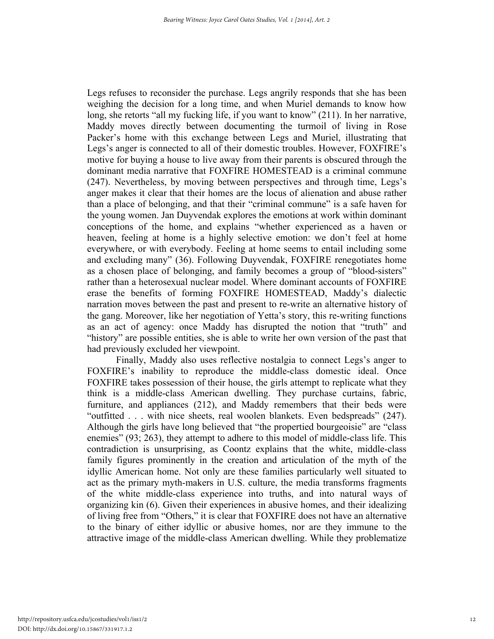Legs refuses to reconsider the purchase. Legs angrily responds that she has been weighing the decision for a long time, and when Muriel demands to know how long, she retorts "all my fucking life, if you want to know" (211). In her narrative, Maddy moves directly between documenting the turmoil of living in Rose Packer's home with this exchange between Legs and Muriel, illustrating that Legs's anger is connected to all of their domestic troubles. However, FOXFIRE's motive for buying a house to live away from their parents is obscured through the dominant media narrative that FOXFIRE HOMESTEAD is a criminal commune (247). Nevertheless, by moving between perspectives and through time, Legs's anger makes it clear that their homes are the locus of alienation and abuse rather than a place of belonging, and that their "criminal commune" is a safe haven for the young women. Jan Duyvendak explores the emotions at work within dominant conceptions of the home, and explains "whether experienced as a haven or heaven, feeling at home is a highly selective emotion: we don't feel at home everywhere, or with everybody. Feeling at home seems to entail including some and excluding many" (36). Following Duyvendak, FOXFIRE renegotiates home as a chosen place of belonging, and family becomes a group of "blood-sisters" rather than a heterosexual nuclear model. Where dominant accounts of FOXFIRE erase the benefits of forming FOXFIRE HOMESTEAD, Maddy's dialectic narration moves between the past and present to re-write an alternative history of the gang. Moreover, like her negotiation of Yetta's story, this re-writing functions as an act of agency: once Maddy has disrupted the notion that "truth" and "history" are possible entities, she is able to write her own version of the past that had previously excluded her viewpoint.

Finally, Maddy also uses reflective nostalgia to connect Legs's anger to FOXFIRE's inability to reproduce the middle-class domestic ideal. Once FOXFIRE takes possession of their house, the girls attempt to replicate what they think is a middle-class American dwelling. They purchase curtains, fabric, furniture, and appliances (212), and Maddy remembers that their beds were "outfitted . . . with nice sheets, real woolen blankets. Even bedspreads" (247). Although the girls have long believed that "the propertied bourgeoisie" are "class enemies" (93; 263), they attempt to adhere to this model of middle-class life. This contradiction is unsurprising, as Coontz explains that the white, middle-class family figures prominently in the creation and articulation of the myth of the idyllic American home. Not only are these families particularly well situated to act as the primary myth-makers in U.S. culture, the media transforms fragments of the white middle-class experience into truths, and into natural ways of organizing kin (6). Given their experiences in abusive homes, and their idealizing of living free from "Others," it is clear that FOXFIRE does not have an alternative to the binary of either idyllic or abusive homes, nor are they immune to the attractive image of the middle-class American dwelling. While they problematize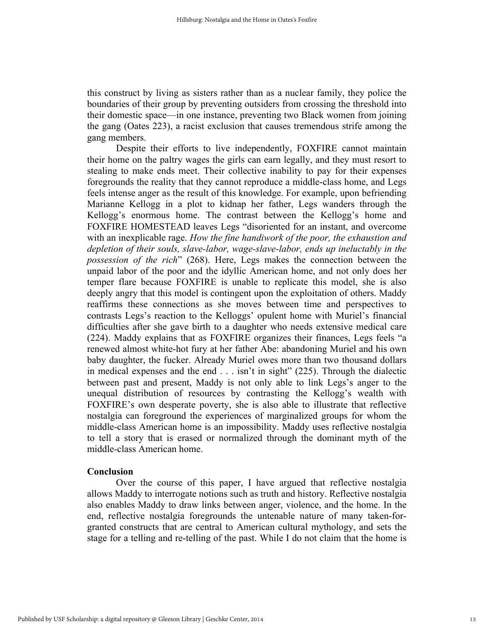this construct by living as sisters rather than as a nuclear family, they police the boundaries of their group by preventing outsiders from crossing the threshold into their domestic space—in one instance, preventing two Black women from joining the gang (Oates 223), a racist exclusion that causes tremendous strife among the gang members.

Despite their efforts to live independently, FOXFIRE cannot maintain their home on the paltry wages the girls can earn legally, and they must resort to stealing to make ends meet. Their collective inability to pay for their expenses foregrounds the reality that they cannot reproduce a middle-class home, and Legs feels intense anger as the result of this knowledge. For example, upon befriending Marianne Kellogg in a plot to kidnap her father, Legs wanders through the Kellogg's enormous home. The contrast between the Kellogg's home and FOXFIRE HOMESTEAD leaves Legs "disoriented for an instant, and overcome with an inexplicable rage. *How the fine handiwork of the poor, the exhaustion and depletion of their souls, slave-labor, wage-slave-labor, ends up ineluctably in the possession of the rich*" (268). Here, Legs makes the connection between the unpaid labor of the poor and the idyllic American home, and not only does her temper flare because FOXFIRE is unable to replicate this model, she is also deeply angry that this model is contingent upon the exploitation of others. Maddy reaffirms these connections as she moves between time and perspectives to contrasts Legs's reaction to the Kelloggs' opulent home with Muriel's financial difficulties after she gave birth to a daughter who needs extensive medical care (224). Maddy explains that as FOXFIRE organizes their finances, Legs feels "a renewed almost white-hot fury at her father Abe: abandoning Muriel and his own baby daughter, the fucker. Already Muriel owes more than two thousand dollars in medical expenses and the end  $\ldots$  isn't in sight" (225). Through the dialectic between past and present, Maddy is not only able to link Legs's anger to the unequal distribution of resources by contrasting the Kellogg's wealth with FOXFIRE's own desperate poverty, she is also able to illustrate that reflective nostalgia can foreground the experiences of marginalized groups for whom the middle-class American home is an impossibility. Maddy uses reflective nostalgia to tell a story that is erased or normalized through the dominant myth of the middle-class American home.

### **Conclusion**

Over the course of this paper, I have argued that reflective nostalgia allows Maddy to interrogate notions such as truth and history. Reflective nostalgia also enables Maddy to draw links between anger, violence, and the home. In the end, reflective nostalgia foregrounds the untenable nature of many taken-forgranted constructs that are central to American cultural mythology, and sets the stage for a telling and re-telling of the past. While I do not claim that the home is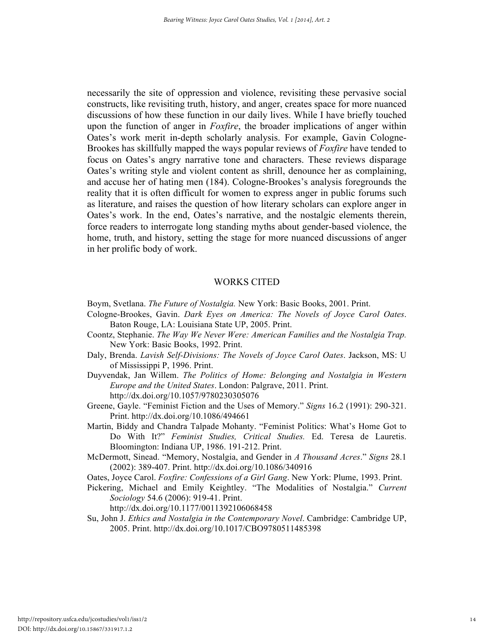necessarily the site of oppression and violence, revisiting these pervasive social constructs, like revisiting truth, history, and anger, creates space for more nuanced discussions of how these function in our daily lives. While I have briefly touched upon the function of anger in *Foxfire*, the broader implications of anger within Oates's work merit in-depth scholarly analysis. For example, Gavin Cologne-Brookes has skillfully mapped the ways popular reviews of *Foxfire* have tended to focus on Oates's angry narrative tone and characters. These reviews disparage Oates's writing style and violent content as shrill, denounce her as complaining, and accuse her of hating men (184). Cologne-Brookes's analysis foregrounds the reality that it is often difficult for women to express anger in public forums such as literature, and raises the question of how literary scholars can explore anger in Oates's work. In the end, Oates's narrative, and the nostalgic elements therein, force readers to interrogate long standing myths about gender-based violence, the home, truth, and history, setting the stage for more nuanced discussions of anger in her prolific body of work.

### WORKS CITED

- Boym, Svetlana. *The Future of Nostalgia.* New York: Basic Books, 2001. Print.
- Cologne-Brookes, Gavin. *Dark Eyes on America: The Novels of Joyce Carol Oates*. Baton Rouge, LA: Louisiana State UP, 2005. Print.
- Coontz, Stephanie. *The Way We Never Were: American Families and the Nostalgia Trap.*  New York: Basic Books, 1992. Print.
- Daly, Brenda. *Lavish Self-Divisions: The Novels of Joyce Carol Oates*. Jackson, MS: U of Mississippi P, 1996. Print.
- Duyvendak, Jan Willem. *The Politics of Home: Belonging and Nostalgia in Western Europe and the United States*. London: Palgrave, 2011. Print. http://dx.doi.org/10.1057/9780230305076
- Greene, Gayle. "Feminist Fiction and the Uses of Memory." *Signs* 16.2 (1991): 290-321. Print. http://dx.doi.org/10.1086/494661
- Martin, Biddy and Chandra Talpade Mohanty. "Feminist Politics: What's Home Got to Do With It?" *Feminist Studies, Critical Studies.* Ed. Teresa de Lauretis. Bloomington: Indiana UP, 1986. 191-212. Print.
- McDermott, Sinead. "Memory, Nostalgia, and Gender in *A Thousand Acres*." *Signs* 28.1 (2002): 389-407. Print. http://dx.doi.org/10.1086/340916
- Oates, Joyce Carol. *Foxfire: Confessions of a Girl Gang*. New York: Plume, 1993. Print.
- Pickering, Michael and Emily Keightley. "The Modalities of Nostalgia." *Current Sociology* 54.6 (2006): 919-41. Print.

http://dx.doi.org/10.1177/0011392106068458

Su, John J. *Ethics and Nostalgia in the Contemporary Novel*. Cambridge: Cambridge UP, 2005. Print. http://dx.doi.org/10.1017/CBO9780511485398